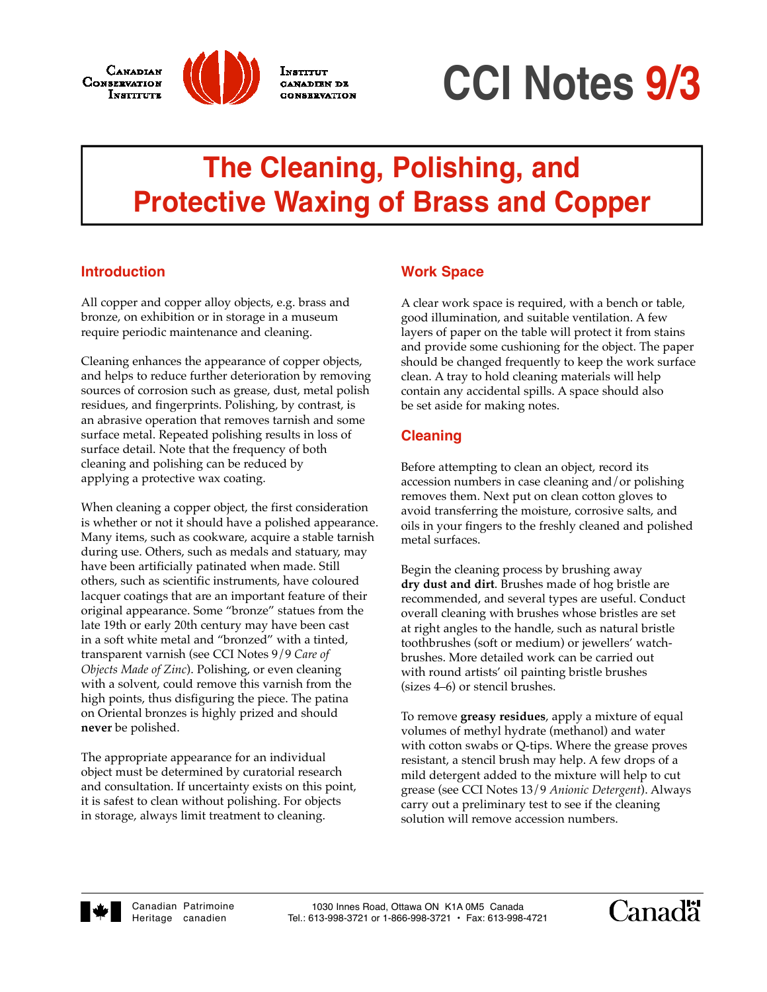



**INSTITUT** 

CANADIEN DE

**CCI Notes 9/3**

# **The Cleaning, Polishing, and Protective Waxing of Brass and Copper**

## **Introduction**

All copper and copper alloy objects, e.g. brass and bronze, on exhibition or in storage in a museum require periodic maintenance and cleaning.

Cleaning enhances the appearance of copper objects, and helps to reduce further deterioration by removing sources of corrosion such as grease, dust, metal polish residues, and fingerprints. Polishing, by contrast, is an abrasive operation that removes tarnish and some surface metal. Repeated polishing results in loss of surface detail. Note that the frequency of both cleaning and polishing can be reduced by applying a protective wax coating.

When cleaning a copper object, the first consideration is whether or not it should have a polished appearance. Many items, such as cookware, acquire a stable tarnish during use. Others, such as medals and statuary, may have been artificially patinated when made. Still others, such as scientific instruments, have coloured lacquer coatings that are an important feature of their original appearance. Some "bronze" statues from the late 19th or early 20th century may have been cast in a soft white metal and "bronzed" with a tinted, transparent varnish (see CCI Notes 9/9 *Care of Objects Made of Zinc*). Polishing, or even cleaning with a solvent, could remove this varnish from the high points, thus disfiguring the piece. The patina on Oriental bronzes is highly prized and should **never** be polished.

The appropriate appearance for an individual object must be determined by curatorial research and consultation. If uncertainty exists on this point, it is safest to clean without polishing. For objects in storage, always limit treatment to cleaning.

#### **Work Space**

A clear work space is required, with a bench or table, good illumination, and suitable ventilation. A few layers of paper on the table will protect it from stains and provide some cushioning for the object. The paper should be changed frequently to keep the work surface clean. A tray to hold cleaning materials will help contain any accidental spills. A space should also be set aside for making notes.

## **Cleaning**

Before attempting to clean an object, record its accession numbers in case cleaning and/or polishing removes them. Next put on clean cotton gloves to avoid transferring the moisture, corrosive salts, and oils in your fingers to the freshly cleaned and polished metal surfaces.

Begin the cleaning process by brushing away **dry dust and dirt**. Brushes made of hog bristle are recommended, and several types are useful. Conduct overall cleaning with brushes whose bristles are set at right angles to the handle, such as natural bristle toothbrushes (soft or medium) or jewellers' watchbrushes. More detailed work can be carried out with round artists' oil painting bristle brushes (sizes 4–6) or stencil brushes.

To remove **greasy residues**, apply a mixture of equal volumes of methyl hydrate (methanol) and water with cotton swabs or Q-tips. Where the grease proves resistant, a stencil brush may help. A few drops of a mild detergent added to the mixture will help to cut grease (see CCI Notes 13/9 *Anionic Detergent*). Always carry out a preliminary test to see if the cleaning solution will remove accession numbers.



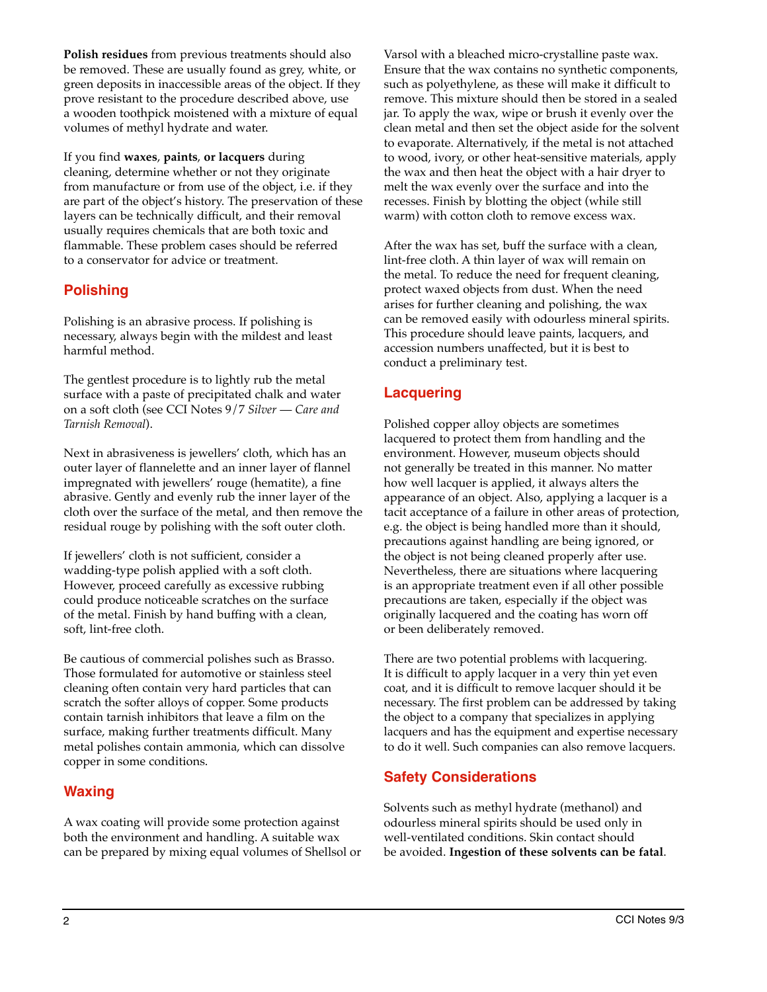**Polish residues** from previous treatments should also be removed. These are usually found as grey, white, or green deposits in inaccessible areas of the object. If they prove resistant to the procedure described above, use a wooden toothpick moistened with a mixture of equal volumes of methyl hydrate and water.

If you find **waxes**, **paints**, **or lacquers** during cleaning, determine whether or not they originate from manufacture or from use of the object, i.e. if they are part of the object's history. The preservation of these layers can be technically difficult, and their removal usually requires chemicals that are both toxic and flammable. These problem cases should be referred to a conservator for advice or treatment.

## **Polishing**

Polishing is an abrasive process. If polishing is necessary, always begin with the mildest and least harmful method.

The gentlest procedure is to lightly rub the metal surface with a paste of precipitated chalk and water on a soft cloth (see CCI Notes 9/7 *Silver* — *Care and Tarnish Removal*).

Next in abrasiveness is jewellers' cloth, which has an outer layer of flannelette and an inner layer of flannel impregnated with jewellers' rouge (hematite), a fine abrasive. Gently and evenly rub the inner layer of the cloth over the surface of the metal, and then remove the residual rouge by polishing with the soft outer cloth.

If jewellers' cloth is not sufficient, consider a wadding-type polish applied with a soft cloth. However, proceed carefully as excessive rubbing could produce noticeable scratches on the surface of the metal. Finish by hand buffing with a clean, soft, lint-free cloth.

Be cautious of commercial polishes such as Brasso. Those formulated for automotive or stainless steel cleaning often contain very hard particles that can scratch the softer alloys of copper. Some products contain tarnish inhibitors that leave a film on the surface, making further treatments difficult. Many metal polishes contain ammonia, which can dissolve copper in some conditions.

# **Waxing**

A wax coating will provide some protection against both the environment and handling. A suitable wax can be prepared by mixing equal volumes of Shellsol or Varsol with a bleached micro-crystalline paste wax. Ensure that the wax contains no synthetic components, such as polyethylene, as these will make it difficult to remove. This mixture should then be stored in a sealed jar. To apply the wax, wipe or brush it evenly over the clean metal and then set the object aside for the solvent to evaporate. Alternatively, if the metal is not attached to wood, ivory, or other heat-sensitive materials, apply the wax and then heat the object with a hair dryer to melt the wax evenly over the surface and into the recesses. Finish by blotting the object (while still warm) with cotton cloth to remove excess wax.

After the wax has set, buff the surface with a clean, lint-free cloth. A thin layer of wax will remain on the metal. To reduce the need for frequent cleaning, protect waxed objects from dust. When the need arises for further cleaning and polishing, the wax can be removed easily with odourless mineral spirits. This procedure should leave paints, lacquers, and accession numbers unaffected, but it is best to conduct a preliminary test.

## **Lacquering**

Polished copper alloy objects are sometimes lacquered to protect them from handling and the environment. However, museum objects should not generally be treated in this manner. No matter how well lacquer is applied, it always alters the appearance of an object. Also, applying a lacquer is a tacit acceptance of a failure in other areas of protection, e.g. the object is being handled more than it should, precautions against handling are being ignored, or the object is not being cleaned properly after use. Nevertheless, there are situations where lacquering is an appropriate treatment even if all other possible precautions are taken, especially if the object was originally lacquered and the coating has worn off or been deliberately removed.

There are two potential problems with lacquering. It is difficult to apply lacquer in a very thin yet even coat, and it is difficult to remove lacquer should it be necessary. The first problem can be addressed by taking the object to a company that specializes in applying lacquers and has the equipment and expertise necessary to do it well. Such companies can also remove lacquers.

# **Safety Considerations**

Solvents such as methyl hydrate (methanol) and odourless mineral spirits should be used only in well-ventilated conditions. Skin contact should be avoided. **Ingestion of these solvents can be fatal**.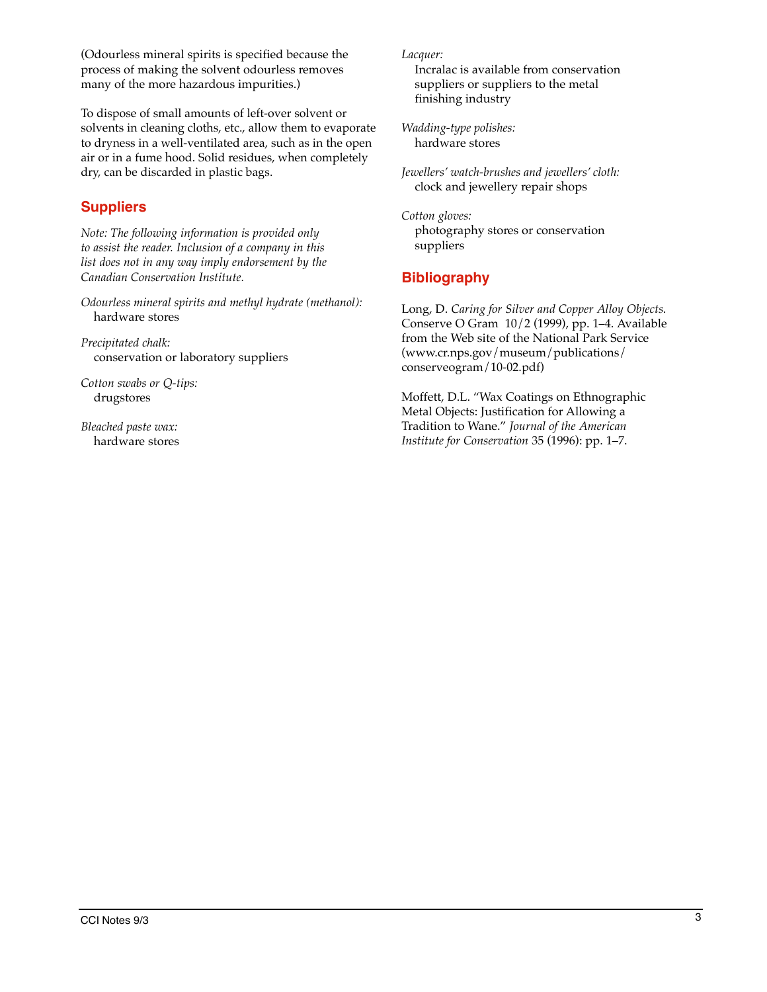(Odourless mineral spirits is specified because the process of making the solvent odourless removes many of the more hazardous impurities.)

To dispose of small amounts of left-over solvent or solvents in cleaning cloths, etc., allow them to evaporate to dryness in a well-ventilated area, such as in the open air or in a fume hood. Solid residues, when completely dry, can be discarded in plastic bags.

## **Suppliers**

*Note: The following information is provided only to assist the reader. Inclusion of a company in this list does not in any way imply endorsement by the Canadian Conservation Institute.*

*Odourless mineral spirits and methyl hydrate (methanol):* hardware stores

*Precipitated chalk:* conservation or laboratory suppliers

*Cotton swabs or Q-tips:* drugstores

*Bleached paste wax:* hardware stores *Lacquer:*

Incralac is available from conservation suppliers or suppliers to the metal finishing industry

*Wadding-type polishes:* hardware stores

*Jewellers' watch-brushes and jewellers' cloth:* clock and jewellery repair shops

*Cotton gloves:* photography stores or conservation suppliers

## **Bibliography**

Long, D. *Caring for Silver and Copper Alloy Objects*. Conserve O Gram 10/2 (1999), pp. 1–4. Available from the Web site of the National Park Service (www.cr.nps.gov/museum/publications/ conserveogram/10-02.pdf)

Moffett, D.L. "Wax Coatings on Ethnographic Metal Objects: Justification for Allowing a Tradition to Wane." *Journal of the American Institute for Conservation* 35 (1996): pp. 1–7.